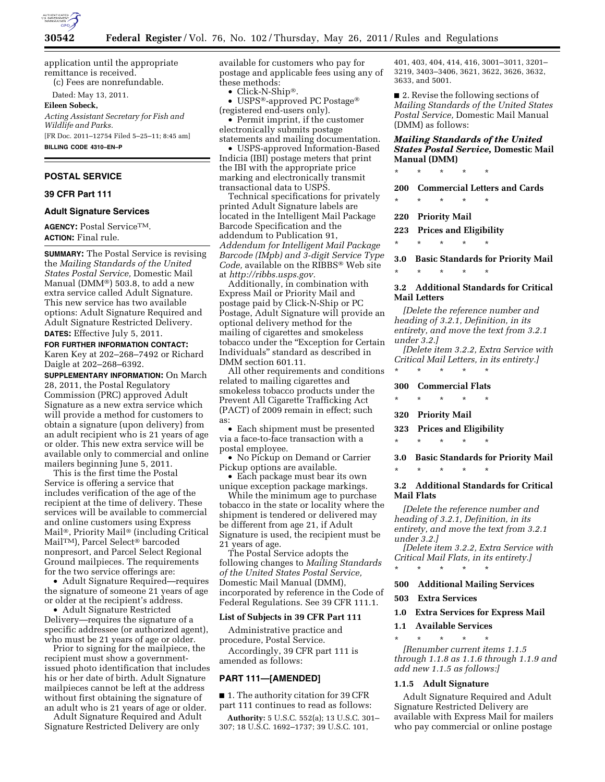

application until the appropriate remittance is received. (c) Fees are nonrefundable.

Dated: May 13, 2011.

**Eileen Sobeck,** 

*Acting Assistant Secretary for Fish and Wildlife and Parks.*  [FR Doc. 2011–12754 Filed 5–25–11; 8:45 am] **BILLING CODE 4310–EN–P** 

### **POSTAL SERVICE**

### **39 CFR Part 111**

#### **Adult Signature Services**

**AGENCY:** Postal ServiceTM. **ACTION:** Final rule.

**SUMMARY:** The Postal Service is revising the *Mailing Standards of the United States Postal Service,* Domestic Mail Manual (DMM®) 503.8, to add a new extra service called Adult Signature. This new service has two available options: Adult Signature Required and Adult Signature Restricted Delivery. **DATES:** Effective July 5, 2011.

**FOR FURTHER INFORMATION CONTACT:**  Karen Key at 202–268–7492 or Richard Daigle at 202–268–6392.

**SUPPLEMENTARY INFORMATION:** On March 28, 2011, the Postal Regulatory Commission (PRC) approved Adult Signature as a new extra service which will provide a method for customers to obtain a signature (upon delivery) from an adult recipient who is 21 years of age or older. This new extra service will be available only to commercial and online mailers beginning June 5, 2011.

This is the first time the Postal Service is offering a service that includes verification of the age of the recipient at the time of delivery. These services will be available to commercial and online customers using Express Mail®, Priority Mail® (including Critical MailTM), Parcel Select® barcoded nonpresort, and Parcel Select Regional Ground mailpieces. The requirements for the two service offerings are:

• Adult Signature Required—requires the signature of someone 21 years of age or older at the recipient's address.

• Adult Signature Restricted Delivery—requires the signature of a specific addressee (or authorized agent), who must be 21 years of age or older.

Prior to signing for the mailpiece, the recipient must show a governmentissued photo identification that includes his or her date of birth. Adult Signature mailpieces cannot be left at the address without first obtaining the signature of an adult who is 21 years of age or older.

Adult Signature Required and Adult Signature Restricted Delivery are only

available for customers who pay for postage and applicable fees using any of these methods:

• Click-N-Ship®.

• USPS®-approved PC Postage® (registered end-users only).

• Permit imprint, if the customer electronically submits postage statements and mailing documentation.

• USPS-approved Information-Based Indicia (IBI) postage meters that print the IBI with the appropriate price marking and electronically transmit transactional data to USPS.

Technical specifications for privately printed Adult Signature labels are located in the Intelligent Mail Package Barcode Specification and the addendum to Publication 91, *Addendum for Intelligent Mail Package Barcode (IMpb) and 3-digit Service Type Code,* available on the RIBBS® Web site at *[http://ribbs.usps.gov.](http://ribbs.usps.gov)* 

Additionally, in combination with Express Mail or Priority Mail and postage paid by Click-N-Ship or PC Postage, Adult Signature will provide an optional delivery method for the mailing of cigarettes and smokeless tobacco under the "Exception for Certain Individuals'' standard as described in DMM section 601.11.

All other requirements and conditions related to mailing cigarettes and smokeless tobacco products under the Prevent All Cigarette Trafficking Act (PACT) of 2009 remain in effect; such as:

• Each shipment must be presented via a face-to-face transaction with a postal employee.

• No Pickup on Demand or Carrier Pickup options are available.

• Each package must bear its own unique exception package markings.

While the minimum age to purchase tobacco in the state or locality where the shipment is tendered or delivered may be different from age 21, if Adult Signature is used, the recipient must be 21 years of age.

The Postal Service adopts the following changes to *Mailing Standards of the United States Postal Service,*  Domestic Mail Manual (DMM), incorporated by reference in the Code of Federal Regulations. See 39 CFR 111.1.

#### **List of Subjects in 39 CFR Part 111**

Administrative practice and procedure, Postal Service.

Accordingly, 39 CFR part 111 is amended as follows:

# **PART 111—[AMENDED]**

■ 1. The authority citation for 39 CFR part 111 continues to read as follows:

**Authority:** 5 U.S.C. 552(a); 13 U.S.C. 301– 307; 18 U.S.C. 1692–1737; 39 U.S.C. 101,

401, 403, 404, 414, 416, 3001–3011, 3201– 3219, 3403–3406, 3621, 3622, 3626, 3632, 3633, and 5001.

■ 2. Revise the following sections of *Mailing Standards of the United States Postal Service,* Domestic Mail Manual (DMM) as follows:

### *Mailing Standards of the United States Postal Service,* **Domestic Mail Manual (DMM)**

\* \* \* \* \*

**200 Commercial Letters and Cards** 

\* \* \* \* \*

**220 Priority Mail** 

**223 Prices and Eligibility** 

\* \* \* \* \*

**3.0 Basic Standards for Priority Mail** 

\* \* \* \* \*

### **3.2 Additional Standards for Critical Mail Letters**

*[Delete the reference number and heading of 3.2.1, Definition, in its entirety, and move the text from 3.2.1 under 3.2.]* 

*[Delete item 3.2.2, Extra Service with Critical Mail Letters, in its entirety.]* 

# \* \* \* \* \* **300 Commercial Flats**

\* \* \* \* \*

**320 Priority Mail** 

**323 Prices and Eligibility** 

\* \* \* \* \*

**3.0 Basic Standards for Priority Mail** 

\* \* \* \* \*

# **3.2 Additional Standards for Critical Mail Flats**

*[Delete the reference number and heading of 3.2.1, Definition, in its entirety, and move the text from 3.2.1 under 3.2.]* 

*[Delete item 3.2.2, Extra Service with Critical Mail Flats, in its entirety.]*  \* \* \* \* \*

# **500 Additional Mailing Services**

**503 Extra Services** 

**1.0 Extra Services for Express Mail** 

**1.1 Available Services** 

\* \* \* \* \* *[Renumber current items 1.1.5 through 1.1.8 as 1.1.6 through 1.1.9 and add new 1.1.5 as follows:]* 

#### **1.1.5 Adult Signature**

Adult Signature Required and Adult Signature Restricted Delivery are available with Express Mail for mailers who pay commercial or online postage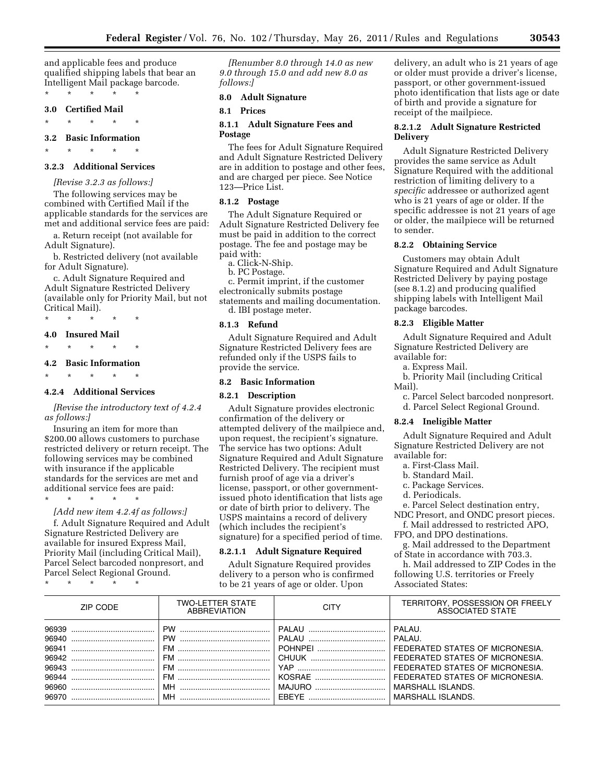and applicable fees and produce qualified shipping labels that bear an Intelligent Mail package barcode.

\* \* \* \* \* **3.0 Certified Mail** 

\* \* \* \* \*

#### **3.2 Basic Information**

\* \* \* \* \*

# **3.2.3 Additional Services**

*[Revise 3.2.3 as follows:]*  The following services may be combined with Certified Mail if the applicable standards for the services are met and additional service fees are paid:

a. Return receipt (not available for Adult Signature).

b. Restricted delivery (not available for Adult Signature).

c. Adult Signature Required and Adult Signature Restricted Delivery (available only for Priority Mail, but not Critical Mail).

\* \* \* \* \*

#### **4.0 Insured Mail**

\* \* \* \* \*

#### **4.2 Basic Information**

\* \* \* \* \*

### **4.2.4 Additional Services**

*[Revise the introductory text of 4.2.4 as follows:]* 

Insuring an item for more than \$200.00 allows customers to purchase restricted delivery or return receipt. The following services may be combined with insurance if the applicable standards for the services are met and additional service fees are paid:

*[Add new item 4.2.4f as follows:]* 

f. Adult Signature Required and Adult Signature Restricted Delivery are available for insured Express Mail, Priority Mail (including Critical Mail), Parcel Select barcoded nonpresort, and Parcel Select Regional Ground.

\* \* \* \* \*

\* \* \* \* \*

*[Renumber 8.0 through 14.0 as new 9.0 through 15.0 and add new 8.0 as follows:]* 

### **8.0 Adult Signature**

**8.1 Prices** 

# **8.1.1 Adult Signature Fees and Postage**

The fees for Adult Signature Required and Adult Signature Restricted Delivery are in addition to postage and other fees, and are charged per piece. See Notice 123—Price List.

### **8.1.2 Postage**

The Adult Signature Required or Adult Signature Restricted Delivery fee must be paid in addition to the correct postage. The fee and postage may be paid with:

a. Click-N-Ship.

b. PC Postage.

c. Permit imprint, if the customer electronically submits postage statements and mailing documentation. d. IBI postage meter.

#### **8.1.3 Refund**

Adult Signature Required and Adult Signature Restricted Delivery fees are refunded only if the USPS fails to provide the service.

#### **8.2 Basic Information**

### **8.2.1 Description**

Adult Signature provides electronic confirmation of the delivery or attempted delivery of the mailpiece and, upon request, the recipient's signature. The service has two options: Adult Signature Required and Adult Signature Restricted Delivery. The recipient must furnish proof of age via a driver's license, passport, or other governmentissued photo identification that lists age or date of birth prior to delivery. The USPS maintains a record of delivery (which includes the recipient's signature) for a specified period of time.

#### **8.2.1.1 Adult Signature Required**

Adult Signature Required provides delivery to a person who is confirmed to be 21 years of age or older. Upon

delivery, an adult who is 21 years of age or older must provide a driver's license, passport, or other government-issued photo identification that lists age or date of birth and provide a signature for receipt of the mailpiece.

### **8.2.1.2 Adult Signature Restricted Delivery**

Adult Signature Restricted Delivery provides the same service as Adult Signature Required with the additional restriction of limiting delivery to a *specific* addressee or authorized agent who is 21 years of age or older. If the specific addressee is not 21 years of age or older, the mailpiece will be returned to sender.

### **8.2.2 Obtaining Service**

Customers may obtain Adult Signature Required and Adult Signature Restricted Delivery by paying postage (see 8.1.2) and producing qualified shipping labels with Intelligent Mail package barcodes.

### **8.2.3 Eligible Matter**

Adult Signature Required and Adult Signature Restricted Delivery are available for:

a. Express Mail.

b. Priority Mail (including Critical Mail).

c. Parcel Select barcoded nonpresort. d. Parcel Select Regional Ground.

### **8.2.4 Ineligible Matter**

Adult Signature Required and Adult Signature Restricted Delivery are not available for:

- a. First-Class Mail.
- b. Standard Mail.
- c. Package Services.
- d. Periodicals.

e. Parcel Select destination entry, NDC Presort, and ONDC presort pieces.

f. Mail addressed to restricted APO, FPO, and DPO destinations.

g. Mail addressed to the Department of State in accordance with 703.3.

h. Mail addressed to ZIP Codes in the following U.S. territories or Freely Associated States:

| ZIP CODE | <b>TWO-LETTER STATE</b><br><b>ABBREVIATION</b> | <b>CITY</b> | TERRITORY, POSSESSION OR FREELY<br><b>ASSOCIATED STATE</b>                                                                                                                                              |
|----------|------------------------------------------------|-------------|---------------------------------------------------------------------------------------------------------------------------------------------------------------------------------------------------------|
|          |                                                |             | PAI AU.<br>PAI AU<br>FEDERATED STATES OF MICRONESIA.<br>FEDERATED STATES OF MICRONESIA.<br>FEDERATED STATES OF MICRONESIA.<br>FEDERATED STATES OF MICRONESIA.<br>MARSHALL ISLANDS.<br>MARSHALL ISLANDS. |